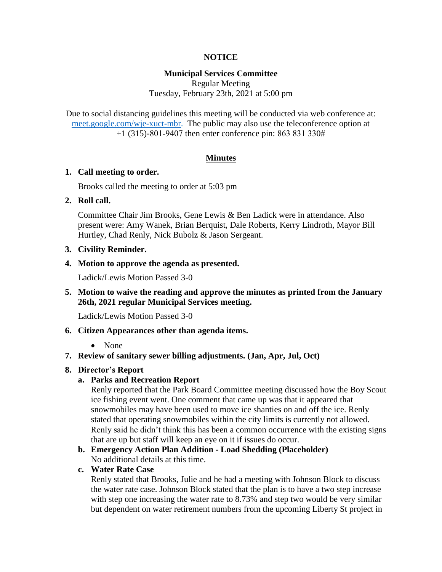## **NOTICE**

## **Municipal Services Committee**

Regular Meeting Tuesday, February 23th, 2021 at 5:00 pm

Due to social distancing guidelines this meeting will be conducted via web conference at: [meet.google.com/wje-xuct-mbr.](meet.google.com/wje-xuct-mbr) The public may also use the teleconference option at +1 (315)-801-9407 then enter conference pin: 863 831 330#

## **Minutes**

#### **1. Call meeting to order.**

Brooks called the meeting to order at 5:03 pm

## **2. Roll call.**

Committee Chair Jim Brooks, Gene Lewis & Ben Ladick were in attendance. Also present were: Amy Wanek, Brian Berquist, Dale Roberts, Kerry Lindroth, Mayor Bill Hurtley, Chad Renly, Nick Bubolz & Jason Sergeant.

## **3. Civility Reminder.**

## **4. Motion to approve the agenda as presented.**

Ladick/Lewis Motion Passed 3-0

**5. Motion to waive the reading and approve the minutes as printed from the January 26th, 2021 regular Municipal Services meeting.**

Ladick/Lewis Motion Passed 3-0

## **6. Citizen Appearances other than agenda items.**

## • None

**7. Review of sanitary sewer billing adjustments. (Jan, Apr, Jul, Oct)**

## **8. Director's Report**

## **a. Parks and Recreation Report**

Renly reported that the Park Board Committee meeting discussed how the Boy Scout ice fishing event went. One comment that came up was that it appeared that snowmobiles may have been used to move ice shanties on and off the ice. Renly stated that operating snowmobiles within the city limits is currently not allowed. Renly said he didn't think this has been a common occurrence with the existing signs that are up but staff will keep an eye on it if issues do occur.

# **b. Emergency Action Plan Addition - Load Shedding (Placeholder)**

No additional details at this time.

## **c. Water Rate Case**

Renly stated that Brooks, Julie and he had a meeting with Johnson Block to discuss the water rate case. Johnson Block stated that the plan is to have a two step increase with step one increasing the water rate to 8.73% and step two would be very similar but dependent on water retirement numbers from the upcoming Liberty St project in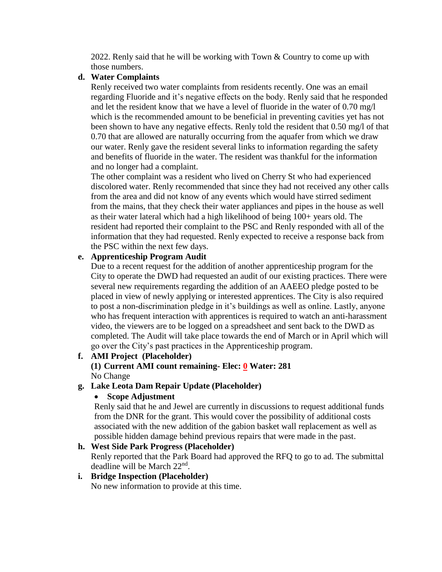2022. Renly said that he will be working with Town & Country to come up with those numbers.

## **d. Water Complaints**

Renly received two water complaints from residents recently. One was an email regarding Fluoride and it's negative effects on the body. Renly said that he responded and let the resident know that we have a level of fluoride in the water of 0.70 mg/l which is the recommended amount to be beneficial in preventing cavities yet has not been shown to have any negative effects. Renly told the resident that 0.50 mg/l of that 0.70 that are allowed are naturally occurring from the aquafer from which we draw our water. Renly gave the resident several links to information regarding the safety and benefits of fluoride in the water. The resident was thankful for the information and no longer had a complaint.

The other complaint was a resident who lived on Cherry St who had experienced discolored water. Renly recommended that since they had not received any other calls from the area and did not know of any events which would have stirred sediment from the mains, that they check their water appliances and pipes in the house as well as their water lateral which had a high likelihood of being 100+ years old. The resident had reported their complaint to the PSC and Renly responded with all of the information that they had requested. Renly expected to receive a response back from the PSC within the next few days.

# **e. Apprenticeship Program Audit**

Due to a recent request for the addition of another apprenticeship program for the City to operate the DWD had requested an audit of our existing practices. There were several new requirements regarding the addition of an AAEEO pledge posted to be placed in view of newly applying or interested apprentices. The City is also required to post a non-discrimination pledge in it's buildings as well as online. Lastly, anyone who has frequent interaction with apprentices is required to watch an anti-harassment video, the viewers are to be logged on a spreadsheet and sent back to the DWD as completed. The Audit will take place towards the end of March or in April which will go over the City's past practices in the Apprenticeship program.

**f. AMI Project (Placeholder)**

# **(1) Current AMI count remaining- Elec: 0 Water: 281** No Change

# **g. Lake Leota Dam Repair Update (Placeholder)**

# **Scope Adjustment**

Renly said that he and Jewel are currently in discussions to request additional funds from the DNR for the grant. This would cover the possibility of additional costs associated with the new addition of the gabion basket wall replacement as well as possible hidden damage behind previous repairs that were made in the past.

# **h. West Side Park Progress (Placeholder)**

Renly reported that the Park Board had approved the RFQ to go to ad. The submittal deadline will be March 22<sup>nd</sup>.

# **i. Bridge Inspection (Placeholder)**

No new information to provide at this time.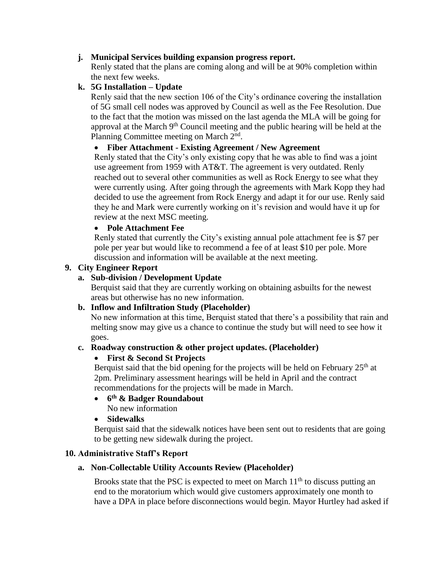# **j. Municipal Services building expansion progress report.**

Renly stated that the plans are coming along and will be at 90% completion within the next few weeks.

# **k. 5G Installation – Update**

Renly said that the new section 106 of the City's ordinance covering the installation of 5G small cell nodes was approved by Council as well as the Fee Resolution. Due to the fact that the motion was missed on the last agenda the MLA will be going for approval at the March  $9<sup>th</sup>$  Council meeting and the public hearing will be held at the Planning Committee meeting on March 2<sup>nd</sup>.

# **Fiber Attachment - Existing Agreement / New Agreement**

Renly stated that the City's only existing copy that he was able to find was a joint use agreement from 1959 with AT&T. The agreement is very outdated. Renly reached out to several other communities as well as Rock Energy to see what they were currently using. After going through the agreements with Mark Kopp they had decided to use the agreement from Rock Energy and adapt it for our use. Renly said they he and Mark were currently working on it's revision and would have it up for review at the next MSC meeting.

## **Pole Attachment Fee**

Renly stated that currently the City's existing annual pole attachment fee is \$7 per pole per year but would like to recommend a fee of at least \$10 per pole. More discussion and information will be available at the next meeting.

## **9. City Engineer Report**

## **a. Sub-division / Development Update**

Berquist said that they are currently working on obtaining asbuilts for the newest areas but otherwise has no new information.

## **b. Inflow and Infiltration Study (Placeholder)**

No new information at this time, Berquist stated that there's a possibility that rain and melting snow may give us a chance to continue the study but will need to see how it goes.

# **c. Roadway construction & other project updates. (Placeholder)**

## **First & Second St Projects**

Berquist said that the bid opening for the projects will be held on February  $25<sup>th</sup>$  at 2pm. Preliminary assessment hearings will be held in April and the contract recommendations for the projects will be made in March.

## **6 th & Badger Roundabout**

No new information

## **Sidewalks**

Berquist said that the sidewalk notices have been sent out to residents that are going to be getting new sidewalk during the project.

# **10. Administrative Staff's Report**

# **a. Non-Collectable Utility Accounts Review (Placeholder)**

Brooks state that the PSC is expected to meet on March  $11<sup>th</sup>$  to discuss putting an end to the moratorium which would give customers approximately one month to have a DPA in place before disconnections would begin. Mayor Hurtley had asked if